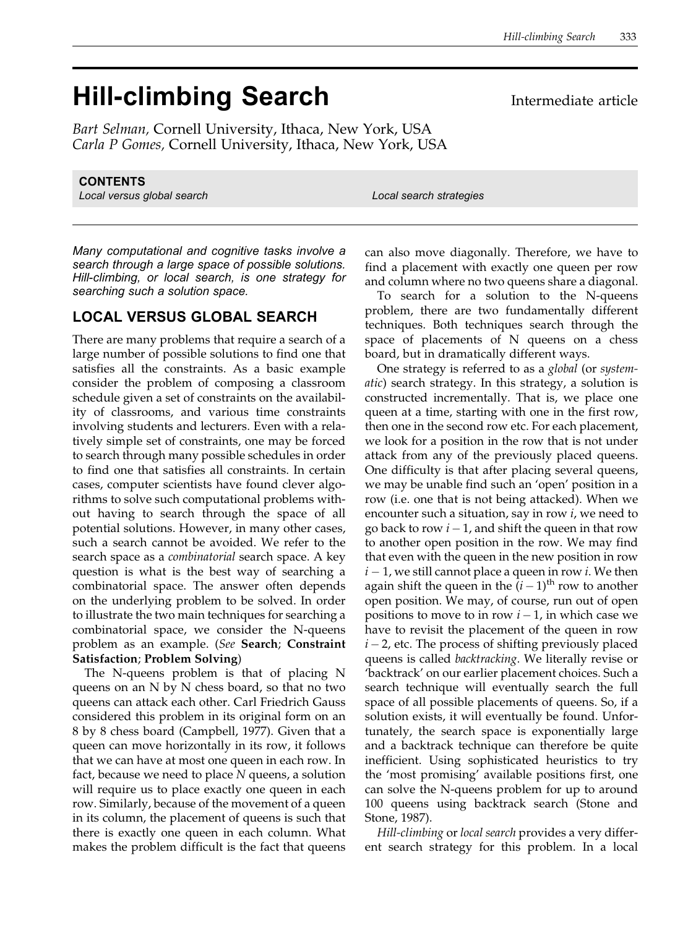# **Hill-climbing Search**

Bart Selman, Cornell University, Ithaca, New York, USA Carla P Gomes, Cornell University, Ithaca, New York, USA

#### **CONTENTS**

Local versus global search

Local search strategies

Many computational and cognitive tasks involve a search through a large space of possible solutions. Hill-climbing, or local search, is one strategy for searching such a solution space.

## **LOCAL VERSUS GLOBAL SEARCH**

There are many problems that require a search of a large number of possible solutions to find one that satisfies all the constraints. As a basic example consider the problem of composing a classroom schedule given a set of constraints on the availability of classrooms, and various time constraints involving students and lecturers. Even with a relatively simple set of constraints, one may be forced to search through many possible schedules in order to find one that satisfies all constraints. In certain cases, computer scientists have found clever algorithms to solve such computational problems without having to search through the space of all potential solutions. However, in many other cases, such a search cannot be avoided. We refer to the search space as a *combinatorial* search space. A key question is what is the best way of searching a combinatorial space. The answer often depends on the underlying problem to be solved. In order to illustrate the two main techniques for searching a combinatorial space, we consider the N-queens problem as an example. (See Search; Constraint **Satisfaction; Problem Solving)** 

The N-queens problem is that of placing N queens on an  $N$  by  $N$  chess board, so that no two queens can attack each other. Carl Friedrich Gauss considered this problem in its original form on an 8 by 8 chess board (Campbell, 1977). Given that a queen can move horizontally in its row, it follows that we can have at most one queen in each row. In fact, because we need to place N queens, a solution will require us to place exactly one queen in each row. Similarly, because of the movement of a queen in its column, the placement of queens is such that there is exactly one queen in each column. What makes the problem difficult is the fact that queens

can also move diagonally. Therefore, we have to find a placement with exactly one queen per row and column where no two queens share a diagonal.

To search for a solution to the N-queens problem, there are two fundamentally different techniques. Both techniques search through the space of placements of N queens on a chess board, but in dramatically different ways.

One strategy is referred to as a *global* (or *system*atic) search strategy. In this strategy, a solution is constructed incrementally. That is, we place one queen at a time, starting with one in the first row, then one in the second row etc. For each placement, we look for a position in the row that is not under attack from any of the previously placed queens. One difficulty is that after placing several queens, we may be unable find such an 'open' position in a row (i.e. one that is not being attacked). When we encounter such a situation, say in row *i*, we need to go back to row  $i-1$ , and shift the queen in that row to another open position in the row. We may find that even with the queen in the new position in row  $i-1$ , we still cannot place a queen in row i. We then again shift the queen in the  $(i - 1)$ <sup>th</sup> row to another open position. We may, of course, run out of open positions to move to in row  $i - 1$ , in which case we have to revisit the placement of the queen in row  $i-2$ , etc. The process of shifting previously placed queens is called backtracking. We literally revise or 'backtrack' on our earlier placement choices. Such a search technique will eventually search the full space of all possible placements of queens. So, if a solution exists, it will eventually be found. Unfortunately, the search space is exponentially large and a backtrack technique can therefore be quite inefficient. Using sophisticated heuristics to try the 'most promising' available positions first, one can solve the N-queens problem for up to around 100 queens using backtrack search (Stone and Stone, 1987).

Hill-climbing or local search provides a very different search strategy for this problem. In a local

## Intermediate article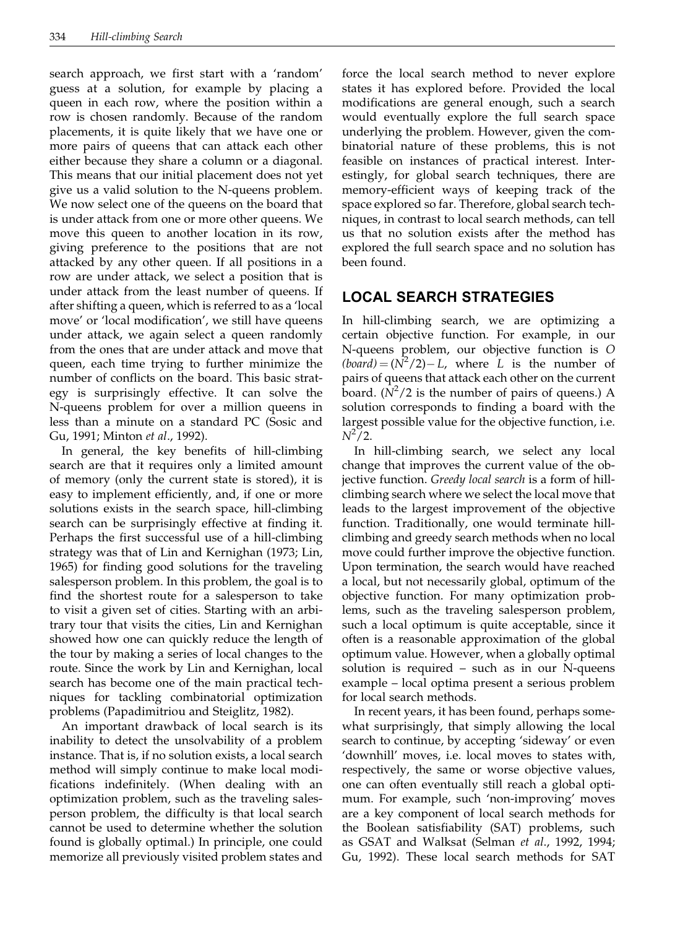search approach, we first start with a 'random' guess at a solution, for example by placing a queen in each row, where the position within a row is chosen randomly. Because of the random placements, it is quite likely that we have one or more pairs of queens that can attack each other either because they share a column or a diagonal. This means that our initial placement does not yet give us a valid solution to the N-queens problem. We now select one of the queens on the board that is under attack from one or more other queens. We move this queen to another location in its row, giving preference to the positions that are not attacked by any other queen. If all positions in a row are under attack, we select a position that is under attack from the least number of queens. If after shifting a queen, which is referred to as a 'local move' or 'local modification', we still have queens under attack, we again select a queen randomly from the ones that are under attack and move that queen, each time trying to further minimize the number of conflicts on the board. This basic strategy is surprisingly effective. It can solve the N-queens problem for over a million queens in less than a minute on a standard PC (Sosic and Gu, 1991; Minton et al., 1992).

In general, the key benefits of hill-climbing search are that it requires only a limited amount of memory (only the current state is stored), it is easy to implement efficiently, and, if one or more solutions exists in the search space, hill-climbing search can be surprisingly effective at finding it. Perhaps the first successful use of a hill-climbing strategy was that of Lin and Kernighan (1973; Lin, 1965) for finding good solutions for the traveling salesperson problem. In this problem, the goal is to find the shortest route for a salesperson to take to visit a given set of cities. Starting with an arbitrary tour that visits the cities, Lin and Kernighan showed how one can quickly reduce the length of the tour by making a series of local changes to the route. Since the work by Lin and Kernighan, local search has become one of the main practical techniques for tackling combinatorial optimization problems (Papadimitriou and Steiglitz, 1982).

An important drawback of local search is its inability to detect the unsolvability of a problem instance. That is, if no solution exists, a local search method will simply continue to make local modifications indefinitely. (When dealing with an optimization problem, such as the traveling salesperson problem, the difficulty is that local search cannot be used to determine whether the solution found is globally optimal.) In principle, one could memorize all previously visited problem states and

force the local search method to never explore states it has explored before. Provided the local modifications are general enough, such a search would eventually explore the full search space underlying the problem. However, given the combinatorial nature of these problems, this is not feasible on instances of practical interest. Interestingly, for global search techniques, there are memory-efficient ways of keeping track of the space explored so far. Therefore, global search techniques, in contrast to local search methods, can tell us that no solution exists after the method has explored the full search space and no solution has been found.

## **LOCAL SEARCH STRATEGIES**

In hill-climbing search, we are optimizing a certain objective function. For example, in our N-queens problem, our objective function is O  $(b \text{card}) = (N^2/2) - L$ , where L is the number of pairs of queens that attack each other on the current board.  $(N^2/2)$  is the number of pairs of queens.) A solution corresponds to finding a board with the largest possible value for the objective function, *i.e.*  $N^2/2$ .

In hill-climbing search, we select any local change that improves the current value of the objective function. Greedy local search is a form of hillclimbing search where we select the local move that leads to the largest improvement of the objective function. Traditionally, one would terminate hillclimbing and greedy search methods when no local move could further improve the objective function. Upon termination, the search would have reached a local, but not necessarily global, optimum of the objective function. For many optimization problems, such as the traveling salesperson problem, such a local optimum is quite acceptable, since it often is a reasonable approximation of the global optimum value. However, when a globally optimal solution is required  $-$  such as in our N-queens example – local optima present a serious problem for local search methods.

In recent years, it has been found, perhaps somewhat surprisingly, that simply allowing the local search to continue, by accepting 'sideway' or even 'downhill' moves, i.e. local moves to states with, respectively, the same or worse objective values, one can often eventually still reach a global optimum. For example, such 'non-improving' moves are a key component of local search methods for the Boolean satisfiability (SAT) problems, such as GSAT and Walksat (Selman et al., 1992, 1994; Gu, 1992). These local search methods for SAT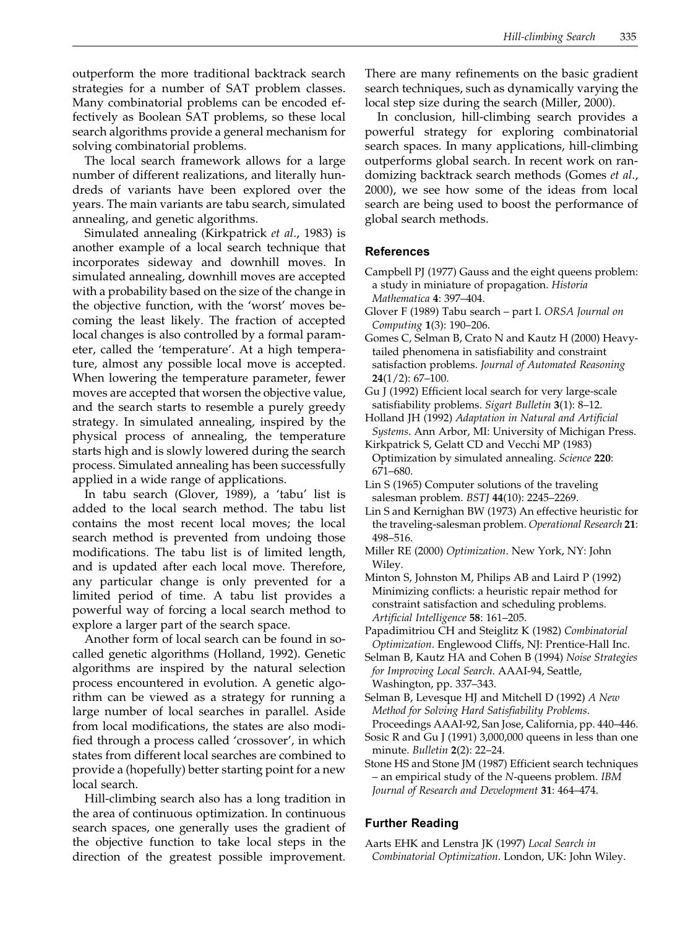outperform the more traditional backtrack search strategies for a number of SAT problem classes. Many combinatorial problems can be encoded effectively as Boolean SAT problems, so these local search algorithms provide a general mechanism for solving combinatorial problems.

The local search framework allows for a large number of different realizations, and literally hundreds of variants have been explored over the years. The main variants are tabu search, simulated annealing, and genetic algorithms.

Simulated annealing (Kirkpatrick et al., 1983) is another example of a local search technique that incorporates sideway and downhill moves. In simulated annealing, downhill moves are accepted with a probability based on the size of the change in the objective function, with the 'worst' moves becoming the least likely. The fraction of accepted local changes is also controlled by a formal parameter, called the 'temperature'. At a high temperature, almost any possible local move is accepted. When lowering the temperature parameter, fewer moves are accepted that worsen the objective value, and the search starts to resemble a purely greedy strategy. In simulated annealing, inspired by the physical process of annealing, the temperature starts high and is slowly lowered during the search process. Simulated annealing has been successfully applied in a wide range of applications.

In tabu search (Glover, 1989), a 'tabu' list is added to the local search method. The tabu list contains the most recent local moves; the local search method is prevented from undoing those modifications. The tabu list is of limited length, and is updated after each local move. Therefore, any particular change is only prevented for a limited period of time. A tabu list provides a powerful way of forcing a local search method to explore a larger part of the search space.

Another form of local search can be found in socalled genetic algorithms (Holland, 1992). Genetic algorithms are inspired by the natural selection process encountered in evolution. A genetic algorithm can be viewed as a strategy for running a large number of local searches in parallel. Aside from local modifications, the states are also modified through a process called 'crossover', in which states from different local searches are combined to provide a (hopefully) better starting point for a new local search.

Hill-climbing search also has a long tradition in the area of continuous optimization. In continuous search spaces, one generally uses the gradient of the objective function to take local steps in the direction of the greatest possible improvement.

There are many refinements on the basic gradient search techniques, such as dynamically varying the local step size during the search (Miller, 2000).

In conclusion, hill-climbing search provides a powerful strategy for exploring combinatorial search spaces. In many applications, hill-climbing outperforms global search. In recent work on randomizing backtrack search methods (Gomes et al., 2000), we see how some of the ideas from local search are being used to boost the performance of global search methods.

#### **References**

- Campbell PJ (1977) Gauss and the eight queens problem: a study in miniature of propagation. Historia Mathematica 4: 397-404.
- Glover F (1989) Tabu search part I. ORSA Journal on Computing 1(3): 190-206.
- Gomes C, Selman B, Crato N and Kautz H (2000) Heavytailed phenomena in satisfiability and constraint satisfaction problems. Journal of Automated Reasoning  $24(1/2): 67-100.$
- Gu J (1992) Efficient local search for very large-scale satisfiability problems. Sigart Bulletin 3(1): 8-12.
- Holland JH (1992) Adaptation in Natural and Artificial Systems. Ann Arbor, MI: University of Michigan Press.
- Kirkpatrick S, Gelatt CD and Vecchi MP (1983) Optimization by simulated annealing. Science 220: 671-680.
- Lin S (1965) Computer solutions of the traveling salesman problem. BSTJ 44(10): 2245-2269.
- Lin S and Kernighan BW (1973) An effective heuristic for the traveling-salesman problem. Operational Research 21: 498-516.
- Miller RE (2000) Optimization. New York, NY: John Wiley.
- Minton S, Johnston M, Philips AB and Laird P (1992) Minimizing conflicts: a heuristic repair method for constraint satisfaction and scheduling problems. Artificial Intelligence 58: 161-205.
- Papadimitriou CH and Steiglitz K (1982) Combinatorial Optimization. Englewood Cliffs, NJ: Prentice-Hall Inc.

Selman B, Kautz HA and Cohen B (1994) Noise Strategies for Improving Local Search. AAAI-94, Seattle, Washington, pp. 337-343.

Selman B, Levesque HJ and Mitchell D (1992) A New Method for Solving Hard Satisfiability Problems.

Proceedings AAAI-92, San Jose, California, pp. 440-446.

Sosic R and Gu J (1991) 3,000,000 queens in less than one minute. *Bulletin* 2(2): 22-24.

Stone HS and Stone JM (1987) Efficient search techniques - an empirical study of the N-queens problem. IBM Journal of Research and Development 31: 464-474.

#### **Further Reading**

Aarts EHK and Lenstra JK (1997) Local Search in Combinatorial Optimization. London, UK: John Wiley.